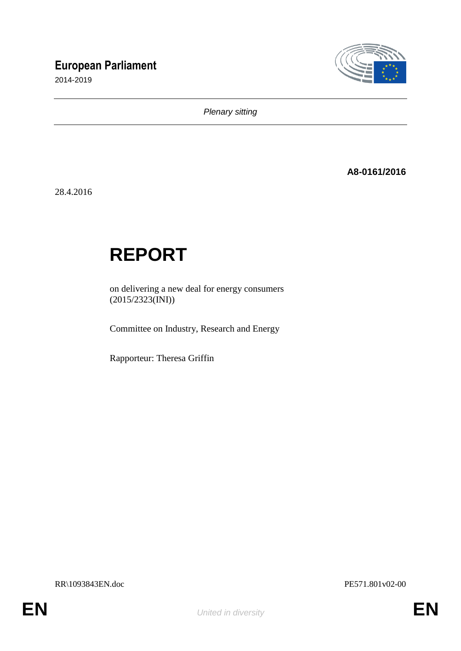# **European Parliament**

2014-2019



*Plenary sitting*

**A8-0161/2016**

28.4.2016

# **REPORT**

on delivering a new deal for energy consumers  $(2015/2323$ (INI))

Committee on Industry, Research and Energy

Rapporteur: Theresa Griffin

RR\1093843EN.doc PE571.801v02-00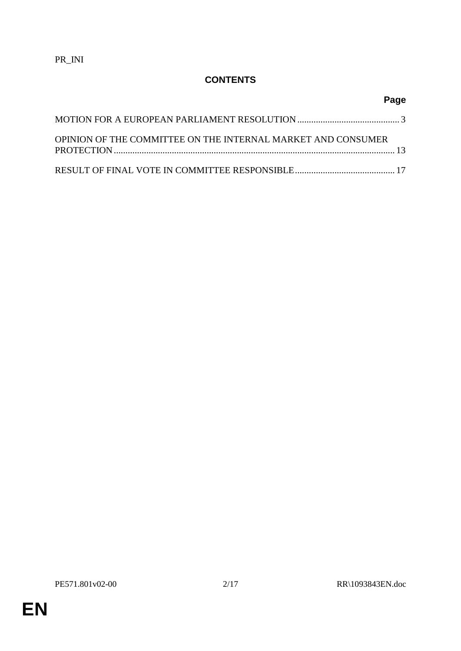PR\_INI

# **CONTENTS**

| OPINION OF THE COMMITTEE ON THE INTERNAL MARKET AND CONSUMER |  |
|--------------------------------------------------------------|--|
|                                                              |  |

**Page**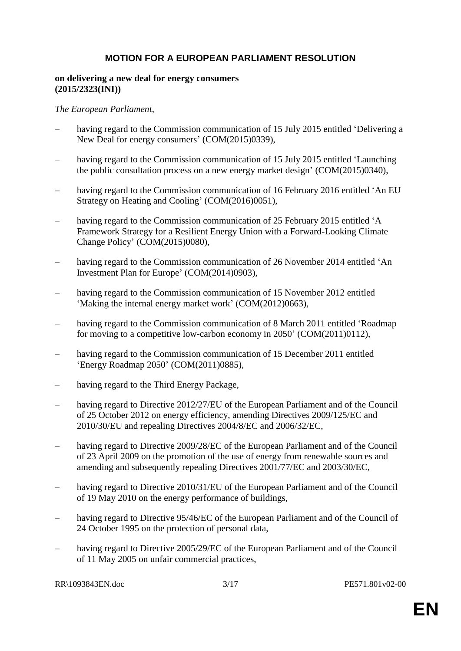# **MOTION FOR A EUROPEAN PARLIAMENT RESOLUTION**

#### **on delivering a new deal for energy consumers (2015/2323(INI))**

#### *The European Parliament*,

- having regard to the Commission communication of 15 July 2015 entitled 'Delivering a New Deal for energy consumers' (COM(2015)0339),
- having regard to the Commission communication of 15 July 2015 entitled 'Launching the public consultation process on a new energy market design' (COM(2015)0340),
- having regard to the Commission communication of 16 February 2016 entitled 'An EU Strategy on Heating and Cooling' (COM(2016)0051),
- having regard to the Commission communication of 25 February 2015 entitled 'A Framework Strategy for a Resilient Energy Union with a Forward-Looking Climate Change Policy' (COM(2015)0080),
- having regard to the Commission communication of 26 November 2014 entitled 'An Investment Plan for Europe' (COM(2014)0903),
- having regard to the Commission communication of 15 November 2012 entitled 'Making the internal energy market work' (COM(2012)0663),
- having regard to the Commission communication of 8 March 2011 entitled 'Roadmap for moving to a competitive low-carbon economy in 2050' (COM(2011)0112),
- having regard to the Commission communication of 15 December 2011 entitled 'Energy Roadmap 2050' (COM(2011)0885),
- having regard to the Third Energy Package,
- having regard to Directive 2012/27/EU of the European Parliament and of the Council of 25 October 2012 on energy efficiency, amending Directives 2009/125/EC and 2010/30/EU and repealing Directives 2004/8/EC and 2006/32/EC,
- having regard to Directive 2009/28/EC of the European Parliament and of the Council of 23 April 2009 on the promotion of the use of energy from renewable sources and amending and subsequently repealing Directives 2001/77/EC and 2003/30/EC,
- having regard to Directive 2010/31/EU of the European Parliament and of the Council of 19 May 2010 on the energy performance of buildings,
- having regard to Directive 95/46/EC of the European Parliament and of the Council of 24 October 1995 on the protection of personal data,
- having regard to Directive 2005/29/EC of the European Parliament and of the Council of 11 May 2005 on unfair commercial practices,

RR\1093843EN.doc 3/17 PE571.801v02-00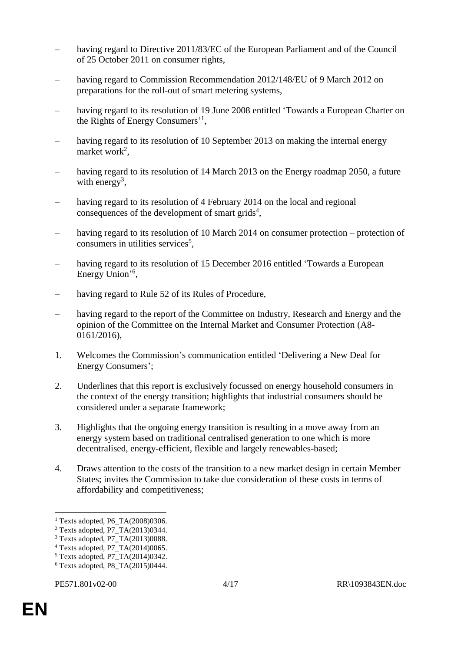- having regard to Directive 2011/83/EC of the European Parliament and of the Council of 25 October 2011 on consumer rights,
- having regard to Commission Recommendation 2012/148/EU of 9 March 2012 on preparations for the roll-out of smart metering systems,
- having regard to its resolution of 19 June 2008 entitled 'Towards a European Charter on the Rights of Energy Consumers'<sup>1</sup>,
- having regard to its resolution of 10 September 2013 on making the internal energy market work<sup>2</sup>,
- having regard to its resolution of 14 March 2013 on the Energy roadmap 2050, a future with energy<sup>3</sup>,
- having regard to its resolution of 4 February 2014 on the local and regional consequences of the development of smart grids $4$ ,
- having regard to its resolution of 10 March 2014 on consumer protection protection of consumers in utilities services<sup>5</sup>,
- having regard to its resolution of 15 December 2016 entitled 'Towards a European Energy Union'<sup>6</sup>,
- having regard to Rule 52 of its Rules of Procedure,
- having regard to the report of the Committee on Industry, Research and Energy and the opinion of the Committee on the Internal Market and Consumer Protection (A8- 0161/2016),
- 1. Welcomes the Commission's communication entitled 'Delivering a New Deal for Energy Consumers';
- 2. Underlines that this report is exclusively focussed on energy household consumers in the context of the energy transition; highlights that industrial consumers should be considered under a separate framework;
- 3. Highlights that the ongoing energy transition is resulting in a move away from an energy system based on traditional centralised generation to one which is more decentralised, energy-efficient, flexible and largely renewables-based;
- 4. Draws attention to the costs of the transition to a new market design in certain Member States; invites the Commission to take due consideration of these costs in terms of affordability and competitiveness;

 $\overline{a}$ 

<sup>&</sup>lt;sup>1</sup> Texts adopted, P6\_TA(2008)0306.

<sup>2</sup> Texts adopted, P7\_TA(2013)0344.

<sup>3</sup> Texts adopted, P7\_TA(2013)0088.

<sup>4</sup> Texts adopted, P7\_TA(2014)0065.

 $5$  Texts adopted, P7\_TA(2014)0342.

 $6$  Texts adopted, P8\_TA(2015)0444.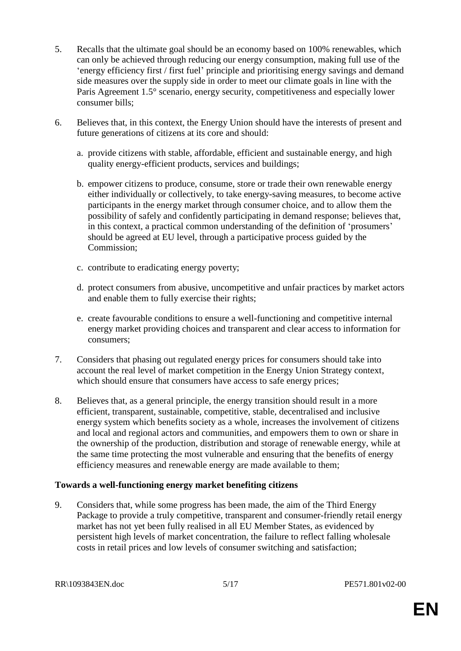- 5. Recalls that the ultimate goal should be an economy based on 100% renewables, which can only be achieved through reducing our energy consumption, making full use of the 'energy efficiency first / first fuel' principle and prioritising energy savings and demand side measures over the supply side in order to meet our climate goals in line with the Paris Agreement 1.5° scenario, energy security, competitiveness and especially lower consumer bills;
- 6. Believes that, in this context, the Energy Union should have the interests of present and future generations of citizens at its core and should:
	- a. provide citizens with stable, affordable, efficient and sustainable energy, and high quality energy-efficient products, services and buildings;
	- b. empower citizens to produce, consume, store or trade their own renewable energy either individually or collectively, to take energy-saving measures, to become active participants in the energy market through consumer choice, and to allow them the possibility of safely and confidently participating in demand response; believes that, in this context, a practical common understanding of the definition of 'prosumers' should be agreed at EU level, through a participative process guided by the Commission;
	- c. contribute to eradicating energy poverty;
	- d. protect consumers from abusive, uncompetitive and unfair practices by market actors and enable them to fully exercise their rights;
	- e. create favourable conditions to ensure a well-functioning and competitive internal energy market providing choices and transparent and clear access to information for consumers;
- 7. Considers that phasing out regulated energy prices for consumers should take into account the real level of market competition in the Energy Union Strategy context, which should ensure that consumers have access to safe energy prices;
- 8. Believes that, as a general principle, the energy transition should result in a more efficient, transparent, sustainable, competitive, stable, decentralised and inclusive energy system which benefits society as a whole, increases the involvement of citizens and local and regional actors and communities, and empowers them to own or share in the ownership of the production, distribution and storage of renewable energy, while at the same time protecting the most vulnerable and ensuring that the benefits of energy efficiency measures and renewable energy are made available to them;

#### **Towards a well-functioning energy market benefiting citizens**

9. Considers that, while some progress has been made, the aim of the Third Energy Package to provide a truly competitive, transparent and consumer-friendly retail energy market has not yet been fully realised in all EU Member States, as evidenced by persistent high levels of market concentration, the failure to reflect falling wholesale costs in retail prices and low levels of consumer switching and satisfaction;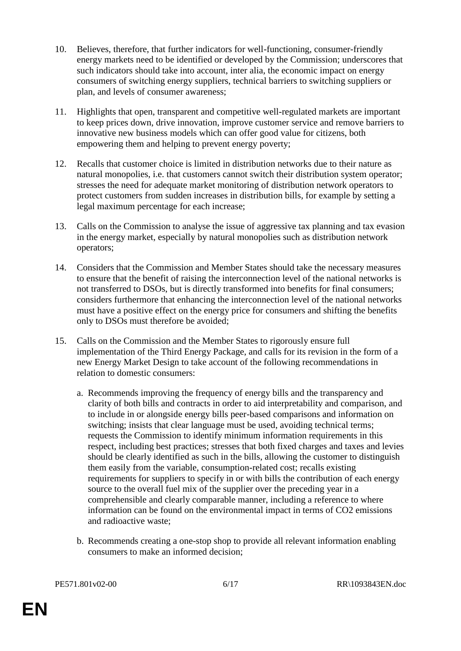- 10. Believes, therefore, that further indicators for well-functioning, consumer-friendly energy markets need to be identified or developed by the Commission; underscores that such indicators should take into account, inter alia, the economic impact on energy consumers of switching energy suppliers, technical barriers to switching suppliers or plan, and levels of consumer awareness;
- 11. Highlights that open, transparent and competitive well-regulated markets are important to keep prices down, drive innovation, improve customer service and remove barriers to innovative new business models which can offer good value for citizens, both empowering them and helping to prevent energy poverty;
- 12. Recalls that customer choice is limited in distribution networks due to their nature as natural monopolies, i.e. that customers cannot switch their distribution system operator; stresses the need for adequate market monitoring of distribution network operators to protect customers from sudden increases in distribution bills, for example by setting a legal maximum percentage for each increase;
- 13. Calls on the Commission to analyse the issue of aggressive tax planning and tax evasion in the energy market, especially by natural monopolies such as distribution network operators;
- 14. Considers that the Commission and Member States should take the necessary measures to ensure that the benefit of raising the interconnection level of the national networks is not transferred to DSOs, but is directly transformed into benefits for final consumers; considers furthermore that enhancing the interconnection level of the national networks must have a positive effect on the energy price for consumers and shifting the benefits only to DSOs must therefore be avoided;
- 15. Calls on the Commission and the Member States to rigorously ensure full implementation of the Third Energy Package, and calls for its revision in the form of a new Energy Market Design to take account of the following recommendations in relation to domestic consumers:
	- a. Recommends improving the frequency of energy bills and the transparency and clarity of both bills and contracts in order to aid interpretability and comparison, and to include in or alongside energy bills peer-based comparisons and information on switching; insists that clear language must be used, avoiding technical terms; requests the Commission to identify minimum information requirements in this respect, including best practices; stresses that both fixed charges and taxes and levies should be clearly identified as such in the bills, allowing the customer to distinguish them easily from the variable, consumption-related cost; recalls existing requirements for suppliers to specify in or with bills the contribution of each energy source to the overall fuel mix of the supplier over the preceding year in a comprehensible and clearly comparable manner, including a reference to where information can be found on the environmental impact in terms of CO2 emissions and radioactive waste;
	- b. Recommends creating a one-stop shop to provide all relevant information enabling consumers to make an informed decision;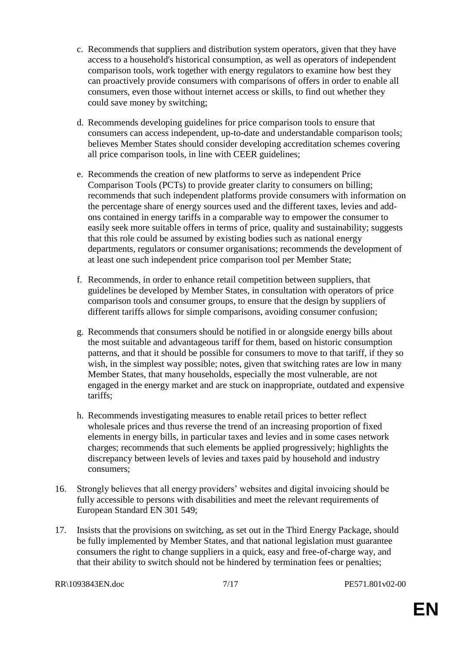- c. Recommends that suppliers and distribution system operators, given that they have access to a household's historical consumption, as well as operators of independent comparison tools, work together with energy regulators to examine how best they can proactively provide consumers with comparisons of offers in order to enable all consumers, even those without internet access or skills, to find out whether they could save money by switching;
- d. Recommends developing guidelines for price comparison tools to ensure that consumers can access independent, up-to-date and understandable comparison tools; believes Member States should consider developing accreditation schemes covering all price comparison tools, in line with CEER guidelines;
- e. Recommends the creation of new platforms to serve as independent Price Comparison Tools (PCTs) to provide greater clarity to consumers on billing; recommends that such independent platforms provide consumers with information on the percentage share of energy sources used and the different taxes, levies and addons contained in energy tariffs in a comparable way to empower the consumer to easily seek more suitable offers in terms of price, quality and sustainability; suggests that this role could be assumed by existing bodies such as national energy departments, regulators or consumer organisations; recommends the development of at least one such independent price comparison tool per Member State;
- f. Recommends, in order to enhance retail competition between suppliers, that guidelines be developed by Member States, in consultation with operators of price comparison tools and consumer groups, to ensure that the design by suppliers of different tariffs allows for simple comparisons, avoiding consumer confusion;
- g. Recommends that consumers should be notified in or alongside energy bills about the most suitable and advantageous tariff for them, based on historic consumption patterns, and that it should be possible for consumers to move to that tariff, if they so wish, in the simplest way possible; notes, given that switching rates are low in many Member States, that many households, especially the most vulnerable, are not engaged in the energy market and are stuck on inappropriate, outdated and expensive tariffs;
- h. Recommends investigating measures to enable retail prices to better reflect wholesale prices and thus reverse the trend of an increasing proportion of fixed elements in energy bills, in particular taxes and levies and in some cases network charges; recommends that such elements be applied progressively; highlights the discrepancy between levels of levies and taxes paid by household and industry consumers;
- 16. Strongly believes that all energy providers' websites and digital invoicing should be fully accessible to persons with disabilities and meet the relevant requirements of European Standard EN 301 549;
- 17. Insists that the provisions on switching, as set out in the Third Energy Package, should be fully implemented by Member States, and that national legislation must guarantee consumers the right to change suppliers in a quick, easy and free-of-charge way, and that their ability to switch should not be hindered by termination fees or penalties;

```
RR\1093843EN.doc 7/17 PE571.801v02-00
```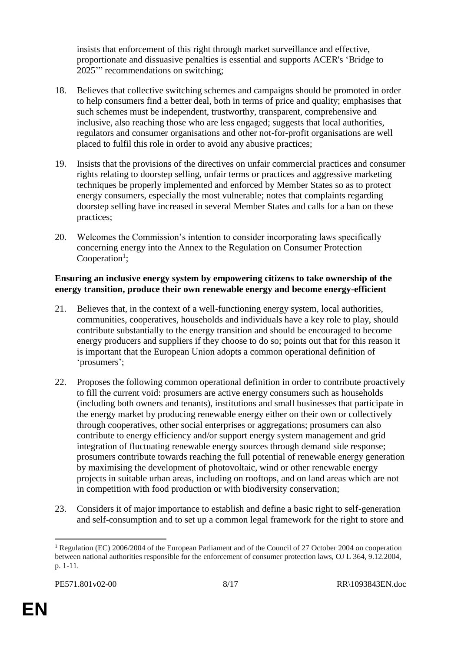insists that enforcement of this right through market surveillance and effective, proportionate and dissuasive penalties is essential and supports ACER's 'Bridge to 2025'" recommendations on switching;

- 18. Believes that collective switching schemes and campaigns should be promoted in order to help consumers find a better deal, both in terms of price and quality; emphasises that such schemes must be independent, trustworthy, transparent, comprehensive and inclusive, also reaching those who are less engaged; suggests that local authorities, regulators and consumer organisations and other not-for-profit organisations are well placed to fulfil this role in order to avoid any abusive practices;
- 19. Insists that the provisions of the directives on unfair commercial practices and consumer rights relating to doorstep selling, unfair terms or practices and aggressive marketing techniques be properly implemented and enforced by Member States so as to protect energy consumers, especially the most vulnerable; notes that complaints regarding doorstep selling have increased in several Member States and calls for a ban on these practices;
- 20. Welcomes the Commission's intention to consider incorporating laws specifically concerning energy into the Annex to the Regulation on Consumer Protection  $Cooperation<sup>1</sup>;$

#### **Ensuring an inclusive energy system by empowering citizens to take ownership of the energy transition, produce their own renewable energy and become energy-efficient**

- 21. Believes that, in the context of a well-functioning energy system, local authorities, communities, cooperatives, households and individuals have a key role to play, should contribute substantially to the energy transition and should be encouraged to become energy producers and suppliers if they choose to do so; points out that for this reason it is important that the European Union adopts a common operational definition of 'prosumers';
- 22. Proposes the following common operational definition in order to contribute proactively to fill the current void: prosumers are active energy consumers such as households (including both owners and tenants), institutions and small businesses that participate in the energy market by producing renewable energy either on their own or collectively through cooperatives, other social enterprises or aggregations; prosumers can also contribute to energy efficiency and/or support energy system management and grid integration of fluctuating renewable energy sources through demand side response; prosumers contribute towards reaching the full potential of renewable energy generation by maximising the development of photovoltaic, wind or other renewable energy projects in suitable urban areas, including on rooftops, and on land areas which are not in competition with food production or with biodiversity conservation;
- 23. Considers it of major importance to establish and define a basic right to self-generation and self-consumption and to set up a common legal framework for the right to store and

 $\overline{a}$ 

<sup>&</sup>lt;sup>1</sup> Regulation (EC) 2006/2004 of the European Parliament and of the Council of 27 October 2004 on cooperation between national authorities responsible for the enforcement of consumer protection laws, OJ L 364, 9.12.2004, p. 1-11.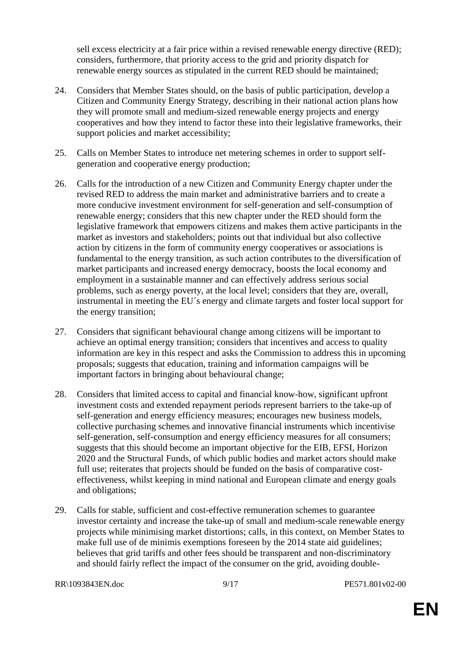sell excess electricity at a fair price within a revised renewable energy directive (RED); considers, furthermore, that priority access to the grid and priority dispatch for renewable energy sources as stipulated in the current RED should be maintained;

- 24. Considers that Member States should, on the basis of public participation, develop a Citizen and Community Energy Strategy, describing in their national action plans how they will promote small and medium-sized renewable energy projects and energy cooperatives and how they intend to factor these into their legislative frameworks, their support policies and market accessibility;
- 25. Calls on Member States to introduce net metering schemes in order to support selfgeneration and cooperative energy production;
- 26. Calls for the introduction of a new Citizen and Community Energy chapter under the revised RED to address the main market and administrative barriers and to create a more conducive investment environment for self-generation and self-consumption of renewable energy; considers that this new chapter under the RED should form the legislative framework that empowers citizens and makes them active participants in the market as investors and stakeholders; points out that individual but also collective action by citizens in the form of community energy cooperatives or associations is fundamental to the energy transition, as such action contributes to the diversification of market participants and increased energy democracy, boosts the local economy and employment in a sustainable manner and can effectively address serious social problems, such as energy poverty, at the local level; considers that they are, overall, instrumental in meeting the EU´s energy and climate targets and foster local support for the energy transition;
- 27. Considers that significant behavioural change among citizens will be important to achieve an optimal energy transition; considers that incentives and access to quality information are key in this respect and asks the Commission to address this in upcoming proposals; suggests that education, training and information campaigns will be important factors in bringing about behavioural change;
- 28. Considers that limited access to capital and financial know-how, significant upfront investment costs and extended repayment periods represent barriers to the take-up of self-generation and energy efficiency measures; encourages new business models, collective purchasing schemes and innovative financial instruments which incentivise self-generation, self-consumption and energy efficiency measures for all consumers; suggests that this should become an important objective for the EIB, EFSI, Horizon 2020 and the Structural Funds, of which public bodies and market actors should make full use; reiterates that projects should be funded on the basis of comparative costeffectiveness, whilst keeping in mind national and European climate and energy goals and obligations;
- 29. Calls for stable, sufficient and cost-effective remuneration schemes to guarantee investor certainty and increase the take-up of small and medium-scale renewable energy projects while minimising market distortions; calls, in this context, on Member States to make full use of de minimis exemptions foreseen by the 2014 state aid guidelines; believes that grid tariffs and other fees should be transparent and non-discriminatory and should fairly reflect the impact of the consumer on the grid, avoiding double-

RR\1093843EN.doc 9/17 PE571.801v02-00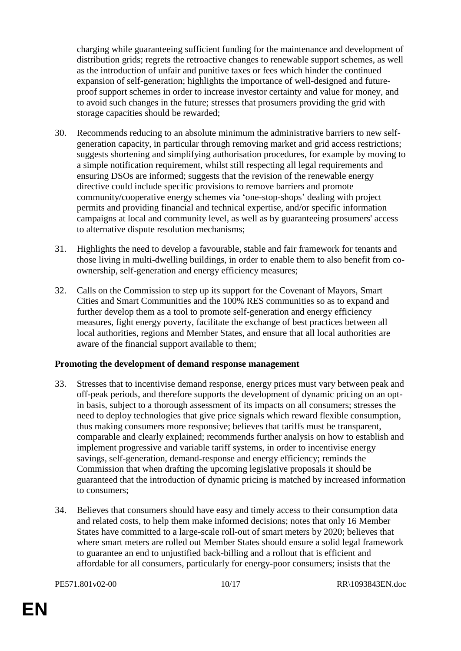charging while guaranteeing sufficient funding for the maintenance and development of distribution grids; regrets the retroactive changes to renewable support schemes, as well as the introduction of unfair and punitive taxes or fees which hinder the continued expansion of self-generation; highlights the importance of well-designed and futureproof support schemes in order to increase investor certainty and value for money, and to avoid such changes in the future; stresses that prosumers providing the grid with storage capacities should be rewarded;

- 30. Recommends reducing to an absolute minimum the administrative barriers to new selfgeneration capacity, in particular through removing market and grid access restrictions; suggests shortening and simplifying authorisation procedures, for example by moving to a simple notification requirement, whilst still respecting all legal requirements and ensuring DSOs are informed; suggests that the revision of the renewable energy directive could include specific provisions to remove barriers and promote community/cooperative energy schemes via 'one-stop-shops' dealing with project permits and providing financial and technical expertise, and/or specific information campaigns at local and community level, as well as by guaranteeing prosumers' access to alternative dispute resolution mechanisms;
- 31. Highlights the need to develop a favourable, stable and fair framework for tenants and those living in multi-dwelling buildings, in order to enable them to also benefit from coownership, self-generation and energy efficiency measures;
- 32. Calls on the Commission to step up its support for the Covenant of Mayors, Smart Cities and Smart Communities and the 100% RES communities so as to expand and further develop them as a tool to promote self-generation and energy efficiency measures, fight energy poverty, facilitate the exchange of best practices between all local authorities, regions and Member States, and ensure that all local authorities are aware of the financial support available to them;

#### **Promoting the development of demand response management**

- 33. Stresses that to incentivise demand response, energy prices must vary between peak and off-peak periods, and therefore supports the development of dynamic pricing on an optin basis, subject to a thorough assessment of its impacts on all consumers; stresses the need to deploy technologies that give price signals which reward flexible consumption, thus making consumers more responsive; believes that tariffs must be transparent, comparable and clearly explained; recommends further analysis on how to establish and implement progressive and variable tariff systems, in order to incentivise energy savings, self-generation, demand-response and energy efficiency; reminds the Commission that when drafting the upcoming legislative proposals it should be guaranteed that the introduction of dynamic pricing is matched by increased information to consumers;
- 34. Believes that consumers should have easy and timely access to their consumption data and related costs, to help them make informed decisions; notes that only 16 Member States have committed to a large-scale roll-out of smart meters by 2020; believes that where smart meters are rolled out Member States should ensure a solid legal framework to guarantee an end to unjustified back-billing and a rollout that is efficient and affordable for all consumers, particularly for energy-poor consumers; insists that the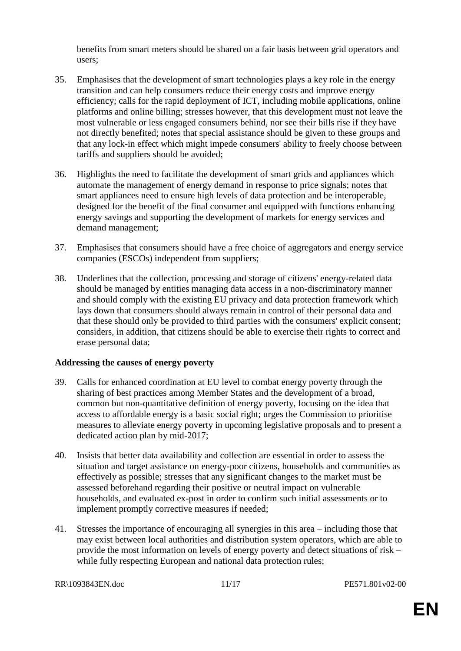benefits from smart meters should be shared on a fair basis between grid operators and users;

- 35. Emphasises that the development of smart technologies plays a key role in the energy transition and can help consumers reduce their energy costs and improve energy efficiency; calls for the rapid deployment of ICT, including mobile applications, online platforms and online billing; stresses however, that this development must not leave the most vulnerable or less engaged consumers behind, nor see their bills rise if they have not directly benefited; notes that special assistance should be given to these groups and that any lock-in effect which might impede consumers' ability to freely choose between tariffs and suppliers should be avoided;
- 36. Highlights the need to facilitate the development of smart grids and appliances which automate the management of energy demand in response to price signals; notes that smart appliances need to ensure high levels of data protection and be interoperable, designed for the benefit of the final consumer and equipped with functions enhancing energy savings and supporting the development of markets for energy services and demand management;
- 37. Emphasises that consumers should have a free choice of aggregators and energy service companies (ESCOs) independent from suppliers;
- 38. Underlines that the collection, processing and storage of citizens' energy-related data should be managed by entities managing data access in a non-discriminatory manner and should comply with the existing EU privacy and data protection framework which lays down that consumers should always remain in control of their personal data and that these should only be provided to third parties with the consumers' explicit consent; considers, in addition, that citizens should be able to exercise their rights to correct and erase personal data;

#### **Addressing the causes of energy poverty**

- 39. Calls for enhanced coordination at EU level to combat energy poverty through the sharing of best practices among Member States and the development of a broad, common but non-quantitative definition of energy poverty, focusing on the idea that access to affordable energy is a basic social right; urges the Commission to prioritise measures to alleviate energy poverty in upcoming legislative proposals and to present a dedicated action plan by mid-2017;
- 40. Insists that better data availability and collection are essential in order to assess the situation and target assistance on energy-poor citizens, households and communities as effectively as possible; stresses that any significant changes to the market must be assessed beforehand regarding their positive or neutral impact on vulnerable households, and evaluated ex-post in order to confirm such initial assessments or to implement promptly corrective measures if needed;
- 41. Stresses the importance of encouraging all synergies in this area including those that may exist between local authorities and distribution system operators, which are able to provide the most information on levels of energy poverty and detect situations of risk – while fully respecting European and national data protection rules;

RR\1093843EN.doc 11/17 PE571.801v02-00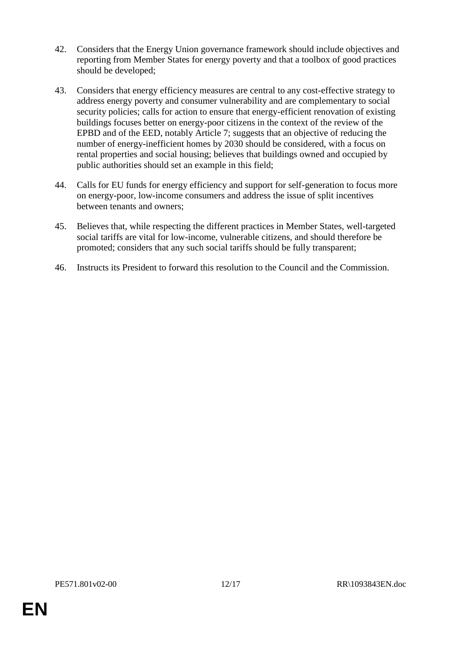- 42. Considers that the Energy Union governance framework should include objectives and reporting from Member States for energy poverty and that a toolbox of good practices should be developed;
- 43. Considers that energy efficiency measures are central to any cost-effective strategy to address energy poverty and consumer vulnerability and are complementary to social security policies; calls for action to ensure that energy-efficient renovation of existing buildings focuses better on energy-poor citizens in the context of the review of the EPBD and of the EED, notably Article 7; suggests that an objective of reducing the number of energy-inefficient homes by 2030 should be considered, with a focus on rental properties and social housing; believes that buildings owned and occupied by public authorities should set an example in this field;
- 44. Calls for EU funds for energy efficiency and support for self-generation to focus more on energy-poor, low-income consumers and address the issue of split incentives between tenants and owners;
- 45. Believes that, while respecting the different practices in Member States, well-targeted social tariffs are vital for low-income, vulnerable citizens, and should therefore be promoted; considers that any such social tariffs should be fully transparent;
- 46. Instructs its President to forward this resolution to the Council and the Commission.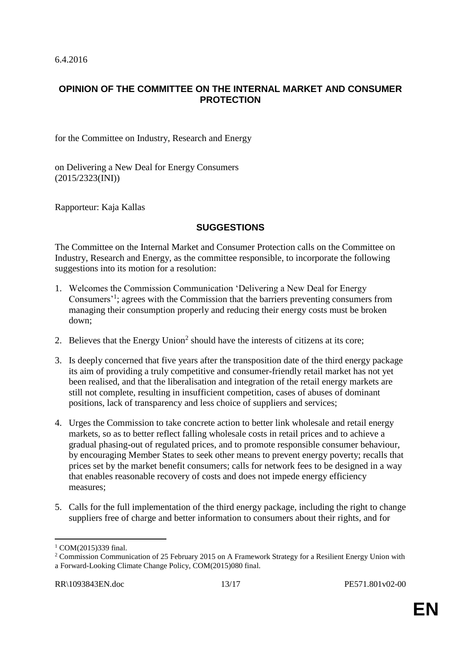# **OPINION OF THE COMMITTEE ON THE INTERNAL MARKET AND CONSUMER PROTECTION**

for the Committee on Industry, Research and Energy

on Delivering a New Deal for Energy Consumers (2015/2323(INI))

Rapporteur: Kaja Kallas

## **SUGGESTIONS**

The Committee on the Internal Market and Consumer Protection calls on the Committee on Industry, Research and Energy, as the committee responsible, to incorporate the following suggestions into its motion for a resolution:

- 1. Welcomes the Commission Communication 'Delivering a New Deal for Energy Consumers<sup>1</sup>; agrees with the Commission that the barriers preventing consumers from managing their consumption properly and reducing their energy costs must be broken down;
- 2. Believes that the Energy Union<sup>2</sup> should have the interests of citizens at its core;
- 3. Is deeply concerned that five years after the transposition date of the third energy package its aim of providing a truly competitive and consumer-friendly retail market has not yet been realised, and that the liberalisation and integration of the retail energy markets are still not complete, resulting in insufficient competition, cases of abuses of dominant positions, lack of transparency and less choice of suppliers and services;
- 4. Urges the Commission to take concrete action to better link wholesale and retail energy markets, so as to better reflect falling wholesale costs in retail prices and to achieve a gradual phasing-out of regulated prices, and to promote responsible consumer behaviour, by encouraging Member States to seek other means to prevent energy poverty; recalls that prices set by the market benefit consumers; calls for network fees to be designed in a way that enables reasonable recovery of costs and does not impede energy efficiency measures;
- 5. Calls for the full implementation of the third energy package, including the right to change suppliers free of charge and better information to consumers about their rights, and for

 $\overline{a}$ 

<sup>&</sup>lt;sup>1</sup> COM(2015)339 final.

<sup>&</sup>lt;sup>2</sup> Commission Communication of 25 February 2015 on A Framework Strategy for a Resilient Energy Union with a Forward-Looking Climate Change Policy, COM(2015)080 final.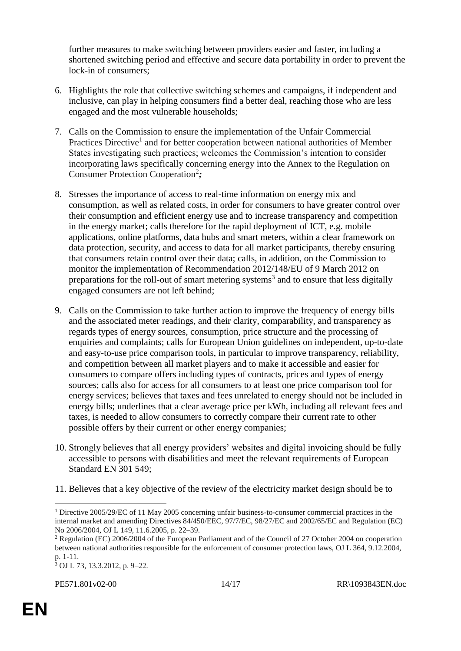further measures to make switching between providers easier and faster, including a shortened switching period and effective and secure data portability in order to prevent the lock-in of consumers;

- 6. Highlights the role that collective switching schemes and campaigns, if independent and inclusive, can play in helping consumers find a better deal, reaching those who are less engaged and the most vulnerable households;
- 7. Calls on the Commission to ensure the implementation of the Unfair Commercial Practices Directive<sup>1</sup> and for better cooperation between national authorities of Member States investigating such practices; welcomes the Commission's intention to consider incorporating laws specifically concerning energy into the Annex to the Regulation on Consumer Protection Cooperation<sup>2</sup>;
- 8. Stresses the importance of access to real-time information on energy mix and consumption, as well as related costs, in order for consumers to have greater control over their consumption and efficient energy use and to increase transparency and competition in the energy market; calls therefore for the rapid deployment of ICT, e.g. mobile applications, online platforms, data hubs and smart meters, within a clear framework on data protection, security, and access to data for all market participants, thereby ensuring that consumers retain control over their data; calls, in addition, on the Commission to monitor the implementation of Recommendation 2012/148/EU of 9 March 2012 on preparations for the roll-out of smart metering systems<sup>3</sup> and to ensure that less digitally engaged consumers are not left behind;
- 9. Calls on the Commission to take further action to improve the frequency of energy bills and the associated meter readings, and their clarity, comparability, and transparency as regards types of energy sources, consumption, price structure and the processing of enquiries and complaints; calls for European Union guidelines on independent, up-to-date and easy-to-use price comparison tools, in particular to improve transparency, reliability, and competition between all market players and to make it accessible and easier for consumers to compare offers including types of contracts, prices and types of energy sources; calls also for access for all consumers to at least one price comparison tool for energy services; believes that taxes and fees unrelated to energy should not be included in energy bills; underlines that a clear average price per kWh, including all relevant fees and taxes, is needed to allow consumers to correctly compare their current rate to other possible offers by their current or other energy companies;
- 10. Strongly believes that all energy providers' websites and digital invoicing should be fully accessible to persons with disabilities and meet the relevant requirements of European Standard EN 301 549;
- 11. Believes that a key objective of the review of the electricity market design should be to

 $\overline{a}$ <sup>1</sup> Directive 2005/29/EC of 11 May 2005 concerning unfair business-to-consumer commercial practices in the internal market and amending Directives 84/450/EEC, 97/7/EC, 98/27/EC and 2002/65/EC and Regulation (EC) No 2006/2004, OJ L 149, 11.6.2005, p. 22–39.

<sup>2</sup> Regulation (EC) 2006/2004 of the European Parliament and of the Council of 27 October 2004 on cooperation between national authorities responsible for the enforcement of consumer protection laws, OJ L 364, 9.12.2004, p. 1-11.

<sup>3</sup> OJ L 73, 13.3.2012, p. 9–22*.*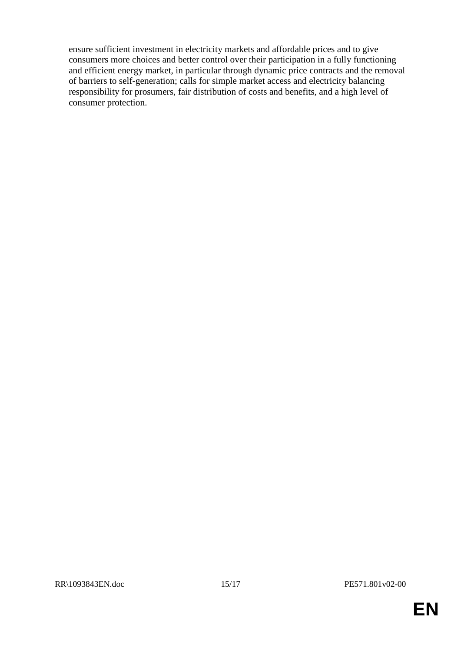ensure sufficient investment in electricity markets and affordable prices and to give consumers more choices and better control over their participation in a fully functioning and efficient energy market, in particular through dynamic price contracts and the removal of barriers to self-generation; calls for simple market access and electricity balancing responsibility for prosumers, fair distribution of costs and benefits, and a high level of consumer protection.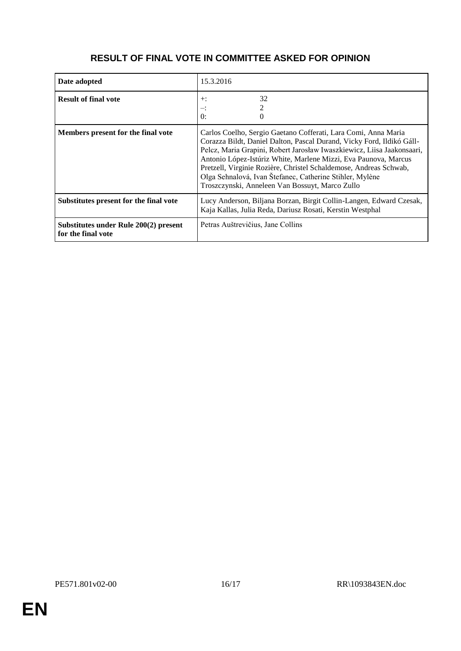| Date adopted                                                | 15.3.2016                                                                                                                                                                                                                                                                                                                                                                                                                                                                |
|-------------------------------------------------------------|--------------------------------------------------------------------------------------------------------------------------------------------------------------------------------------------------------------------------------------------------------------------------------------------------------------------------------------------------------------------------------------------------------------------------------------------------------------------------|
| <b>Result of final vote</b>                                 | 32<br>$+$ :<br>≕:<br>$\Omega$ :                                                                                                                                                                                                                                                                                                                                                                                                                                          |
| Members present for the final vote                          | Carlos Coelho, Sergio Gaetano Cofferati, Lara Comi, Anna Maria<br>Corazza Bildt, Daniel Dalton, Pascal Durand, Vicky Ford, Ildikó Gáll-<br>Pelcz, Maria Grapini, Robert Jarosław Iwaszkiewicz, Liisa Jaakonsaari,<br>Antonio López-Istúriz White, Marlene Mizzi, Eva Paunova, Marcus<br>Pretzell, Virginie Rozière, Christel Schaldemose, Andreas Schwab,<br>Olga Sehnalová, Ivan Štefanec, Catherine Stihler, Mylène<br>Troszczynski, Anneleen Van Bossuyt, Marco Zullo |
| Substitutes present for the final vote                      | Lucy Anderson, Biljana Borzan, Birgit Collin-Langen, Edward Czesak,<br>Kaja Kallas, Julia Reda, Dariusz Rosati, Kerstin Westphal                                                                                                                                                                                                                                                                                                                                         |
| Substitutes under Rule 200(2) present<br>for the final vote | Petras Auštrevičius, Jane Collins                                                                                                                                                                                                                                                                                                                                                                                                                                        |

# **RESULT OF FINAL VOTE IN COMMITTEE ASKED FOR OPINION**